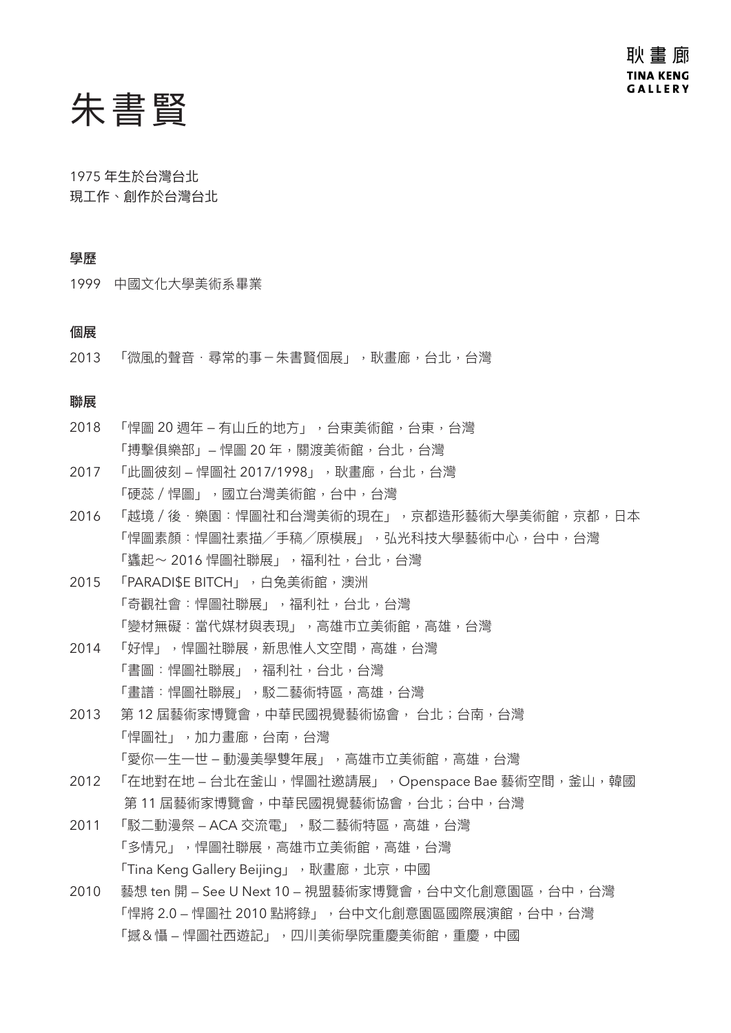## 朱書賢

1975 年生於台灣台北 現工作、創作於台灣台北

## 學歷

1999 中國文化大學美術系畢業

## 個展

2013 「微風的聲音·尋常的事-朱書賢個展」,耿書廊,台北,台灣

### 聯展

- 2018 「悍圖 20 週年 有山丘的地方」, 台東美術館, 台東, 台灣 「搏擊俱樂部」 – 悍圖 20 年, 關渡美術館, 台北, 台灣
- 2017 「此圖彼刻 悍圖社 2017/1998」,耿畫廊,台北,台灣 「硬蕊 / 悍圖」,國立台灣美術館,台中,台灣
- 2016 「越境/後‧樂園:悍圖社和台灣美術的現在」,京都造形藝術大學美術館,京都,日本 「悍圖素顏:悍圖社素描/手稿/原模展」,弘光科技大學藝術中心,台中,台灣 「蠭起~ 2016 悍圖社聯展」, 福利社, 台北, 台灣
- 2015 「PARADI\$E BITCH」,白兔美術館,澳洲 「奇觀社會:悍圖社聯展」,福利社,台北,台灣 「變材無礙:當代媒材與表現」,高雄市立美術館,高雄,台灣
- 2014 「好悍」,悍圖社聯展,新思惟人文空間,高雄,台灣 「書圖:悍圖社聯展」,福利社,台北,台灣 「畫譜:悍圖社聯展」,駁二藝術特區,高雄,台灣
- 2013 第 12 屆藝術家博覽會,中華民國視覺藝術協會, 台北;台南,台灣 「悍圖社」,加力畫廊,台南,台灣 「愛你一牛一世 – 動漫美學雙年展」, 高雄市立美術館, 高雄, 台灣
- 2012 「在地對在地 台北在釜山,悍圖社邀請展」, Openspace Bae 藝術空間,釜山,韓國 第 11 屆藝術家博覽會,中華民國視覺藝術協會,台北;台中,台灣
- 2011 「駁二動漫祭 ACA 交流電」,駁二藝術特區,高雄,台灣 「多情兄」,悍圖社聯展,高雄市立美術館,高雄,台灣 「Tina Keng Gallery Beijing」,耿畫廊,北京,中國
- 2010 藝想 ten 開 See U Next 10 視盟藝術家博覽會,台中文化創意園區,台中,台灣 「悍將 2.0 — 悍圖社 2010 點將錄」,台中文化創意園區國際展演館,台中,台灣 「撼&懾 – 悍圖社西游記」,四川美術學院重慶美術館,重慶,中國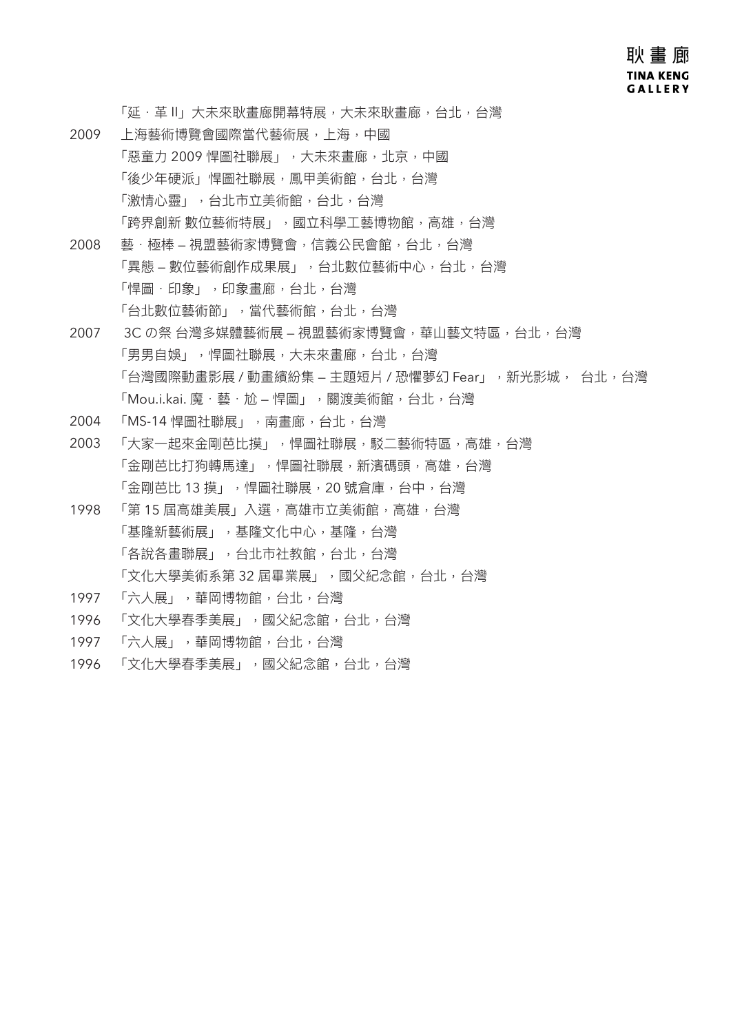## 耿 畫 廊 **TINA KENG GALLERY**

「延·革 II」大未來耿書廊開幕特展,大未來耿書廊,台北,台灣

- 2009 上海藝術博覽會國際當代藝術展,上海,中國 「惡章力 2009 悍圖社聯展」,大未來書廊,北京,中國 「後少年硬派」悍圖社聯展,鳳甲美術館,台北,台灣 「激情心靈」,台北市立美術館,台北,台灣 「跨界創新 數位藝術特展」,國立科學工藝博物館,高雄,台灣
- 2008 藝·極棒 視盟藝術家博覽會,信義公民會館, 台北, 台灣 「異態 – 數位藝術創作成果展」, 台北數位藝術中心, 台北, 台灣 「悍圖.印象」,印象書廊,台北,台灣 「台北數位藝術節」,當代藝術館,台北,台灣
- 2007 3C の祭 台灣多媒體藝術展 視盟藝術家博覽會,華山藝文特區,台北, 台灣 「男男自娛」,悍圖社聯展,大未來畫廊,台北,台灣 「台灣國際動畫影展 / 動畫繽紛集 – 主題短片 / 恐懼夢幻 Fear」, 新光影城, 台北, 台灣 「Mou.i.kai. 魔.藝.尬 — 悍圖」,關渡美術館,台北,台灣
- 2004 「MS-14 悍圖社聯展」,南畫廊,台北,台灣
- 2003 「大家一起來金剛芭比摸」,悍圖社聯展,駁二藝術特區,高雄,台灣 「金剛芭比打狗轉馬達」,悍圖社聯展,新濱碼頭,高雄,台灣 「金剛芭比 13 摸」,悍圖社聯展,20 號倉庫,台中,台灣
- 1998 「第 15 屆高雄美展」入選, 高雄市立美術館, 高雄, 台灣 「基隆新藝術展」,基隆文化中心,基隆,台灣 「各說各畫聯展」,台北市社教館,台北,台灣 「文化大學美術系第 32 屆畢業展」,國父紀念館,台北,台灣
- 1997 「六人展」,華岡博物館,台北,台灣
- 1996 「文化大學春季美展」,國父紀念館,台北,台灣
- 1997 「六人展」,華岡博物館,台北,台灣
- 1996 「文化大學春季美展」,國父紀念館,台北,台灣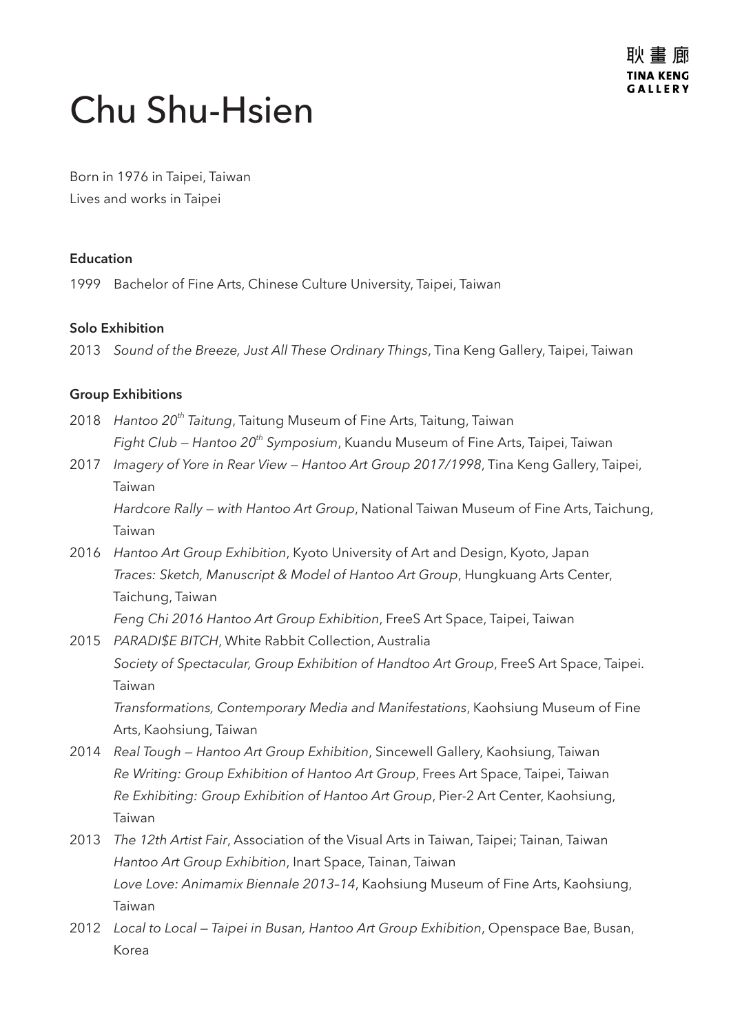# Chu Shu-Hsien

Born in 1976 in Taipei, Taiwan Lives and works in Taipei

## **Education**

1999 Bachelor of Fine Arts, Chinese Culture University, Taipei, Taiwan

## **Solo Exhibition**

2013 *Sound of the Breeze, Just All These Ordinary Things*, Tina Keng Gallery, Taipei, Taiwan

## **Group Exhibitions**

- 2018 *Hantoo 20th Taitung*, Taitung Museum of Fine Arts, Taitung, Taiwan *Fight Club — Hantoo 20th Symposium*, Kuandu Museum of Fine Arts, Taipei, Taiwan
- 2017 *Imagery of Yore in Rear View Hantoo Art Group 2017/1998*, Tina Keng Gallery, Taipei, Taiwan

*Hardcore Rally — with Hantoo Art Group*, National Taiwan Museum of Fine Arts, Taichung, Taiwan

2016 *Hantoo Art Group Exhibition*, Kyoto University of Art and Design, Kyoto, Japan *Traces: Sketch, Manuscript & Model of Hantoo Art Group*, Hungkuang Arts Center, Taichung, Taiwan

*Feng Chi 2016 Hantoo Art Group Exhibition*, FreeS Art Space, Taipei, Taiwan

- 2015 *PARADI\$E BITCH*, White Rabbit Collection, Australia *Society of Spectacular, Group Exhibition of Handtoo Art Group*, FreeS Art Space, Taipei. Taiwan *Transformations, Contemporary Media and Manifestations*, Kaohsiung Museum of Fine Arts, Kaohsiung, Taiwan
- 2014 *Real Tough Hantoo Art Group Exhibition*, Sincewell Gallery, Kaohsiung, Taiwan *Re Writing: Group Exhibition of Hantoo Art Group*, Frees Art Space, Taipei, Taiwan *Re Exhibiting: Group Exhibition of Hantoo Art Group*, Pier-2 Art Center, Kaohsiung, Taiwan
- 2013 *The 12th Artist Fair*, Association of the Visual Arts in Taiwan, Taipei; Tainan, Taiwan *Hantoo Art Group Exhibition*, Inart Space, Tainan, Taiwan *Love Love: Animamix Biennale 2013–14*, Kaohsiung Museum of Fine Arts, Kaohsiung, Taiwan
- 2012 *Local to Local Taipei in Busan, Hantoo Art Group Exhibition*, Openspace Bae, Busan, Korea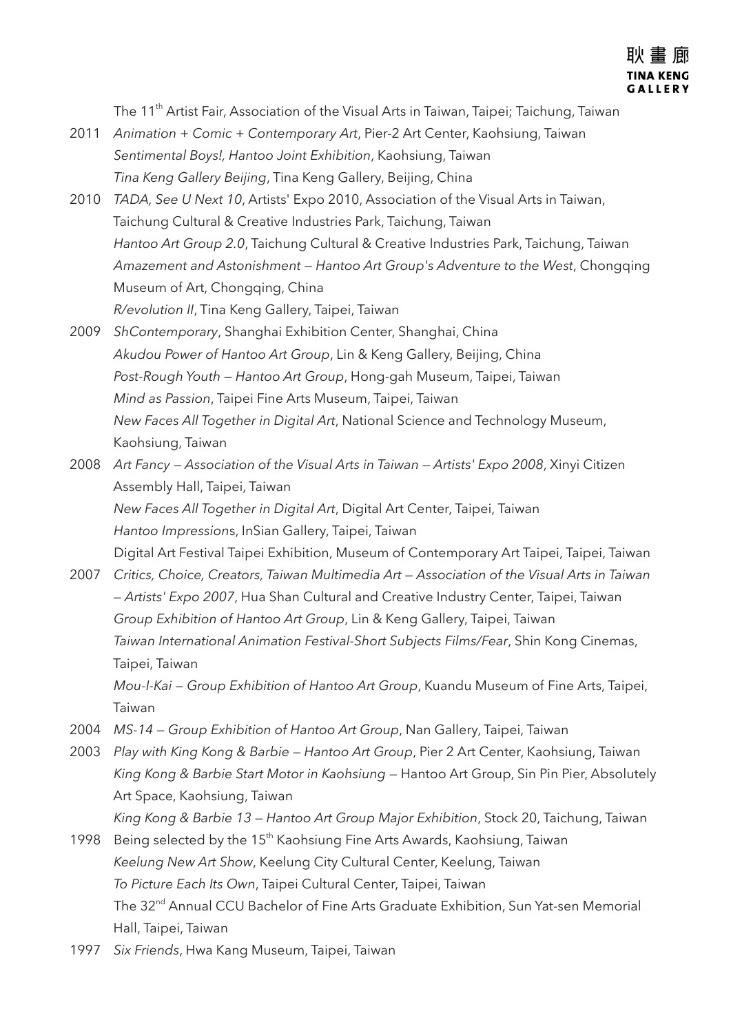The 11<sup>th</sup> Artist Fair, Association of the Visual Arts in Taiwan, Taipei; Taichung, Taiwan

- 2011 *Animation + Comic + Contemporary Art*, Pier-2 Art Center, Kaohsiung, Taiwan *Sentimental Boys!, Hantoo Joint Exhibition*, Kaohsiung, Taiwan *Tina Keng Gallery Beijing*, Tina Keng Gallery, Beijing, China
- 2010 *TADA, See U Next 10*, Artists' Expo 2010, Association of the Visual Arts in Taiwan, Taichung Cultural & Creative Industries Park, Taichung, Taiwan *Hantoo Art Group 2.0*, Taichung Cultural & Creative Industries Park, Taichung, Taiwan *Amazement and Astonishment — Hantoo Art Group's Adventure to the West*, Chongqing Museum of Art, Chongqing, China *R/evolution II*, Tina Keng Gallery, Taipei, Taiwan
- 2009 *ShContemporary*, Shanghai Exhibition Center, Shanghai, China *Akudou Power of Hantoo Art Group*, Lin & Keng Gallery, Beijing, China *Post-Rough Youth — Hantoo Art Group*, Hong-gah Museum, Taipei, Taiwan *Mind as Passion*, Taipei Fine Arts Museum, Taipei, Taiwan *New Faces All Together in Digital Art*, National Science and Technology Museum, Kaohsiung, Taiwan
- 2008 *Art Fancy Association of the Visual Arts in Taiwan Artists' Expo 2008*, Xinyi Citizen Assembly Hall, Taipei, Taiwan *New Faces All Together in Digital Art*, Digital Art Center, Taipei, Taiwan *Hantoo Impression*s, InSian Gallery, Taipei, Taiwan Digital Art Festival Taipei Exhibition, Museum of Contemporary Art Taipei, Taipei, Taiwan
- 2007 *Critics, Choice, Creators, Taiwan Multimedia Art Association of the Visual Arts in Taiwan — Artists' Expo 2007*, Hua Shan Cultural and Creative Industry Center, Taipei, Taiwan *Group Exhibition of Hantoo Art Group*, Lin & Keng Gallery, Taipei, Taiwan *Taiwan International Animation Festival-Short Subjects Films/Fear*, Shin Kong Cinemas, Taipei, Taiwan *Mou-I-Kai — Group Exhibition of Hantoo Art Group*, Kuandu Museum of Fine Arts, Taipei,

Taiwan

- 2004 *MS-14 Group Exhibition of Hantoo Art Group*, Nan Gallery, Taipei, Taiwan
- 2003 *Play with King Kong & Barbie Hantoo Art Group*, Pier 2 Art Center, Kaohsiung, Taiwan *King Kong & Barbie Start Motor in Kaohsiung* — Hantoo Art Group, Sin Pin Pier, Absolutely Art Space, Kaohsiung, Taiwan

*King Kong & Barbie 13 — Hantoo Art Group Major Exhibition*, Stock 20, Taichung, Taiwan

- 1998 Being selected by the 15<sup>th</sup> Kaohsiung Fine Arts Awards, Kaohsiung, Taiwan *Keelung New Art Show*, Keelung City Cultural Center, Keelung, Taiwan *To Picture Each Its Own*, Taipei Cultural Center, Taipei, Taiwan The 32<sup>nd</sup> Annual CCU Bachelor of Fine Arts Graduate Exhibition, Sun Yat-sen Memorial Hall, Taipei, Taiwan
- 1997 *Six Friends*, Hwa Kang Museum, Taipei, Taiwan